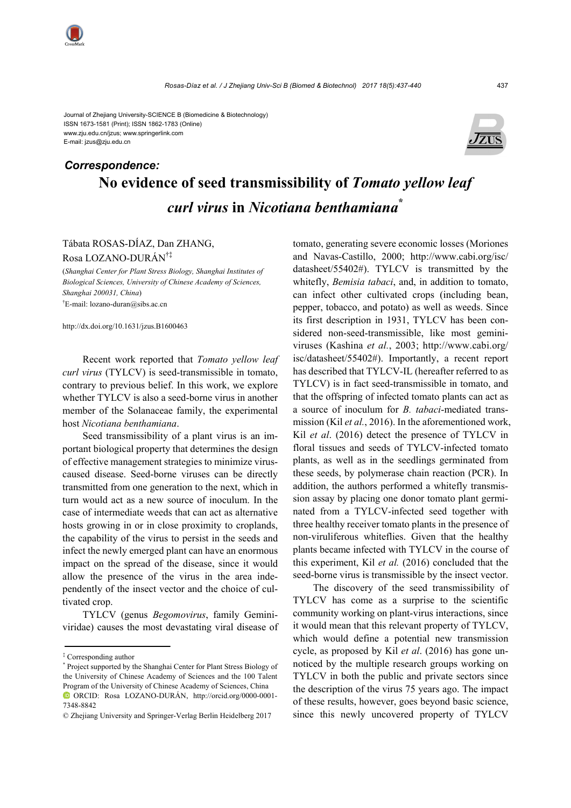www.zju.edu.cn/jzus; www.springerlink.com E-mail: jzus@zju.edu.cn



# **No evidence of seed transmissibility of** *Tomato yellow leaf curl virus* **in** *Nicotiana benthamiana***\***  *Correspondence:*

### Tábata ROSAS-DÍAZ, Dan ZHANG,

Rosa LOZANO-DURÁN†‡

(*Shanghai Center for Plant Stress Biology, Shanghai Institutes of Biological Sciences, University of Chinese Academy of Sciences, Shanghai 200031, China*) † E-mail: lozano-duran@sibs.ac.cn

http://dx.doi.org/10.1631/jzus.B1600463

Recent work reported that *Tomato yellow leaf curl virus* (TYLCV) is seed-transmissible in tomato, contrary to previous belief. In this work, we explore whether TYLCV is also a seed-borne virus in another member of the Solanaceae family, the experimental host *Nicotiana benthamiana*.

Seed transmissibility of a plant virus is an important biological property that determines the design of effective management strategies to minimize viruscaused disease. Seed-borne viruses can be directly transmitted from one generation to the next, which in turn would act as a new source of inoculum. In the case of intermediate weeds that can act as alternative hosts growing in or in close proximity to croplands, the capability of the virus to persist in the seeds and infect the newly emerged plant can have an enormous impact on the spread of the disease, since it would allow the presence of the virus in the area independently of the insect vector and the choice of cultivated crop.

TYLCV (genus *Begomovirus*, family Geminiviridae) causes the most devastating viral disease of tomato, generating severe economic losses (Moriones and Navas-Castillo, 2000; http://www.cabi.org/isc/ datasheet/55402#). TYLCV is transmitted by the whitefly, *Bemisia tabaci*, and, in addition to tomato, can infect other cultivated crops (including bean, pepper, tobacco, and potato) as well as weeds. Since its first description in 1931, TYLCV has been considered non-seed-transmissible, like most geminiviruses (Kashina *et al.*, 2003; http://www.cabi.org/ isc/datasheet/55402#). Importantly, a recent report has described that TYLCV-IL (hereafter referred to as TYLCV) is in fact seed-transmissible in tomato, and that the offspring of infected tomato plants can act as a source of inoculum for *B. tabaci*-mediated transmission (Kil *et al.*, 2016). In the aforementioned work, Kil *et al*. (2016) detect the presence of TYLCV in floral tissues and seeds of TYLCV-infected tomato plants, as well as in the seedlings germinated from these seeds, by polymerase chain reaction (PCR). In addition, the authors performed a whitefly transmission assay by placing one donor tomato plant germinated from a TYLCV-infected seed together with three healthy receiver tomato plants in the presence of non-viruliferous whiteflies. Given that the healthy plants became infected with TYLCV in the course of this experiment, Kil *et al.* (2016) concluded that the seed-borne virus is transmissible by the insect vector.

The discovery of the seed transmissibility of TYLCV has come as a surprise to the scientific community working on plant-virus interactions, since it would mean that this relevant property of TYLCV, which would define a potential new transmission cycle, as proposed by Kil *et al*. (2016) has gone unnoticed by the multiple research groups working on TYLCV in both the public and private sectors since the description of the virus 75 years ago. The impact of these results, however, goes beyond basic science, since this newly uncovered property of TYLCV

<sup>‡</sup> Corresponding author

<sup>\*</sup> Project supported by the Shanghai Center for Plant Stress Biology of the University of Chinese Academy of Sciences and the 100 Talent Program of the University of Chinese Academy of Sciences, China ORCID: Rosa LOZANO-DURÁN, http://orcid.org/0000-0001- 7348-8842

<sup>©</sup> Zhejiang University and Springer-Verlag Berlin Heidelberg 2017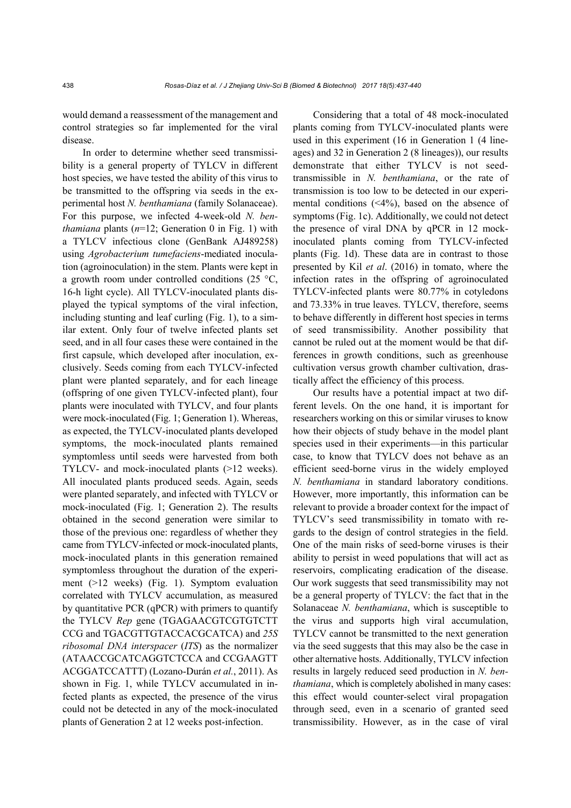would demand a reassessment of the management and control strategies so far implemented for the viral disease.

In order to determine whether seed transmissibility is a general property of TYLCV in different host species, we have tested the ability of this virus to be transmitted to the offspring via seeds in the experimental host *N. benthamiana* (family Solanaceae). For this purpose, we infected 4-week-old *N. benthamiana* plants (*n*=12; Generation 0 in Fig. 1) with a TYLCV infectious clone (GenBank AJ489258) using *Agrobacterium tumefaciens*-mediated inoculation (agroinoculation) in the stem. Plants were kept in a growth room under controlled conditions (25  $\textdegree$ C, 16-h light cycle). All TYLCV-inoculated plants displayed the typical symptoms of the viral infection, including stunting and leaf curling (Fig. 1), to a similar extent. Only four of twelve infected plants set seed, and in all four cases these were contained in the first capsule, which developed after inoculation, exclusively. Seeds coming from each TYLCV-infected plant were planted separately, and for each lineage (offspring of one given TYLCV-infected plant), four plants were inoculated with TYLCV, and four plants were mock-inoculated (Fig. 1; Generation 1). Whereas, as expected, the TYLCV-inoculated plants developed symptoms, the mock-inoculated plants remained symptomless until seeds were harvested from both TYLCV- and mock-inoculated plants (>12 weeks). All inoculated plants produced seeds. Again, seeds were planted separately, and infected with TYLCV or mock-inoculated (Fig. 1; Generation 2). The results obtained in the second generation were similar to those of the previous one: regardless of whether they came from TYLCV-infected or mock-inoculated plants, mock-inoculated plants in this generation remained symptomless throughout the duration of the experiment (>12 weeks) (Fig. 1). Symptom evaluation correlated with TYLCV accumulation, as measured by quantitative PCR (qPCR) with primers to quantify the TYLCV *Rep* gene (TGAGAACGTCGTGTCTT CCG and TGACGTTGTACCACGCATCA) and *25S ribosomal DNA interspacer* (*ITS*) as the normalizer (ATAACCGCATCAGGTCTCCA and CCGAAGTT ACGGATCCATTT) (Lozano-Durán *et al.*, 2011). As shown in Fig. 1, while TYLCV accumulated in infected plants as expected, the presence of the virus could not be detected in any of the mock-inoculated plants of Generation 2 at 12 weeks post-infection.

Considering that a total of 48 mock-inoculated plants coming from TYLCV-inoculated plants were used in this experiment (16 in Generation 1 (4 lineages) and 32 in Generation 2 (8 lineages)), our results demonstrate that either TYLCV is not seedtransmissible in *N. benthamiana*, or the rate of transmission is too low to be detected in our experimental conditions (<4%), based on the absence of symptoms (Fig. 1c). Additionally, we could not detect the presence of viral DNA by qPCR in 12 mockinoculated plants coming from TYLCV-infected plants (Fig. 1d). These data are in contrast to those presented by Kil *et al*. (2016) in tomato, where the infection rates in the offspring of agroinoculated TYLCV-infected plants were 80.77% in cotyledons and 73.33% in true leaves. TYLCV, therefore, seems to behave differently in different host species in terms of seed transmissibility. Another possibility that cannot be ruled out at the moment would be that differences in growth conditions, such as greenhouse cultivation versus growth chamber cultivation, drastically affect the efficiency of this process.

Our results have a potential impact at two different levels. On the one hand, it is important for researchers working on this or similar viruses to know how their objects of study behave in the model plant species used in their experiments—in this particular case, to know that TYLCV does not behave as an efficient seed-borne virus in the widely employed *N. benthamiana* in standard laboratory conditions. However, more importantly, this information can be relevant to provide a broader context for the impact of TYLCV's seed transmissibility in tomato with regards to the design of control strategies in the field. One of the main risks of seed-borne viruses is their ability to persist in weed populations that will act as reservoirs, complicating eradication of the disease. Our work suggests that seed transmissibility may not be a general property of TYLCV: the fact that in the Solanaceae *N. benthamiana*, which is susceptible to the virus and supports high viral accumulation, TYLCV cannot be transmitted to the next generation via the seed suggests that this may also be the case in other alternative hosts. Additionally, TYLCV infection results in largely reduced seed production in *N. benthamiana*, which is completely abolished in many cases: this effect would counter-select viral propagation through seed, even in a scenario of granted seed transmissibility. However, as in the case of viral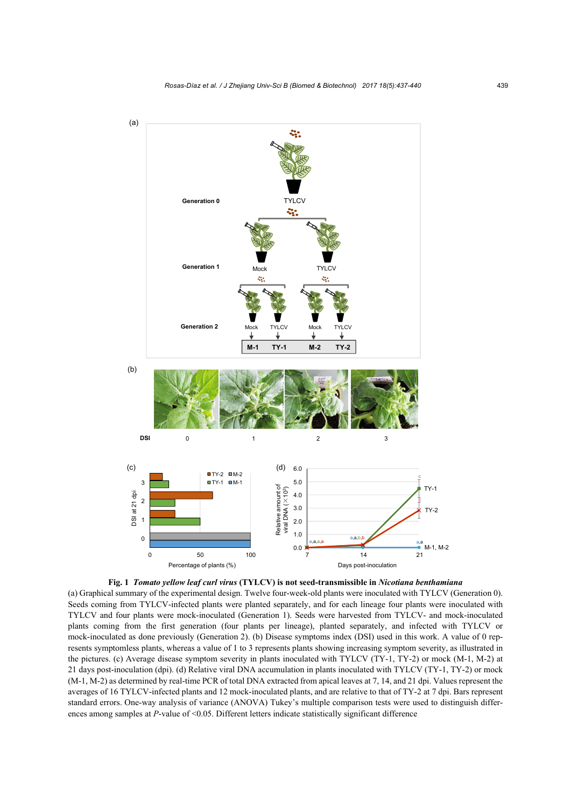



(a) Graphical summary of the experimental design. Twelve four-week-old plants were inoculated with TYLCV (Generation 0). Seeds coming from TYLCV-infected plants were planted separately, and for each lineage four plants were inoculated with TYLCV and four plants were mock-inoculated (Generation 1). Seeds were harvested from TYLCV- and mock-inoculated plants coming from the first generation (four plants per lineage), planted separately, and infected with TYLCV or mock-inoculated as done previously (Generation 2). (b) Disease symptoms index (DSI) used in this work. A value of 0 represents symptomless plants, whereas a value of 1 to 3 represents plants showing increasing symptom severity, as illustrated in the pictures. (c) Average disease symptom severity in plants inoculated with TYLCV (TY-1, TY-2) or mock (M-1, M-2) at 21 days post-inoculation (dpi). (d) Relative viral DNA accumulation in plants inoculated with TYLCV (TY-1, TY-2) or mock (M-1, M-2) as determined by real-time PCR of total DNA extracted from apical leaves at 7, 14, and 21 dpi. Values represent the averages of 16 TYLCV-infected plants and 12 mock-inoculated plants, and are relative to that of TY-2 at 7 dpi. Bars represent standard errors. One-way analysis of variance (ANOVA) Tukey's multiple comparison tests were used to distinguish differences among samples at *P*-value of <0.05. Different letters indicate statistically significant difference